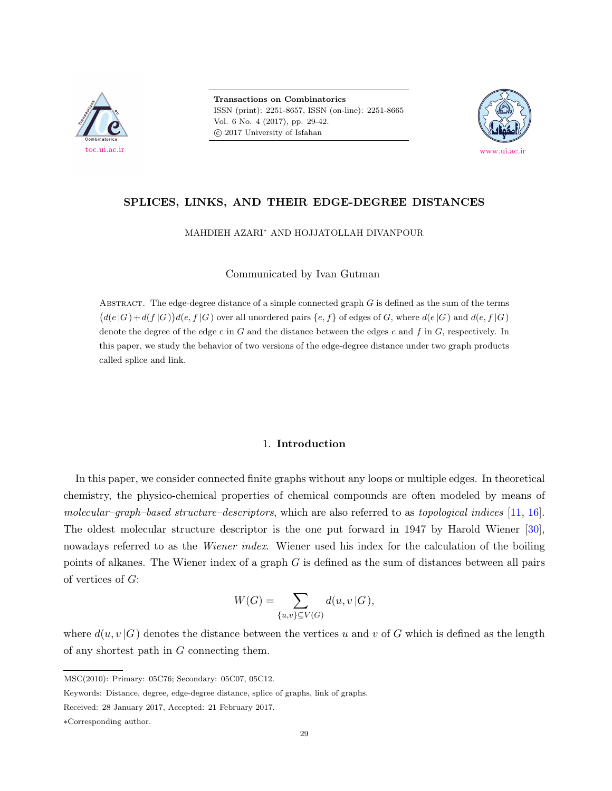

**Transactions on Combinatorics** ISSN (print): 2251-8657, ISSN (on-line): 2251-8665 Vol. 6 No. 4 (2017), pp. 29-42.  $\odot$  2017 University of Isfahan



## **SPLICES, LINKS, AND THEIR EDGE-DEGREE DISTANCES**

MAHDIEH AZARI*<sup>∗</sup>* AND HOJJATOLLAH DIVANPOUR

Communicated by Ivan Gutman

ABSTRACT. The edge-degree distance of a simple connected graph *G* is defined as the sum of the terms  $(d(e|G) + d(f|G))d(e, f|G)$  over all unordered pairs  $\{e, f\}$  of edges of G, where  $d(e|G)$  and  $d(e, f|G)$ denote the degree of the edge *e* in *G* and the distance between the edges *e* and *f* in *G*, respectively. In this paper, we study the behavior of two versions of the edge-degree distance under two graph products called splice and link.

# 1. **Introduction**

In this paper, we consider connected finite graphs without any loops or multiple edges. In theoretical chemistry, the physico-chemical properties of chemical compounds are often modeled by means of *molecular–graph–based structure–descriptors*, which are also referred to as *topological indices* [[11,](#page-12-0) [16](#page-12-1)]. The oldest molecular structure descriptor is the one put forward in 1947 by Harold Wiener [\[30](#page-13-0)], nowadays referred to as the *Wiener index*. Wiener used his index for the calculation of the boiling points of alkanes. The Wiener index of a graph *G* is defined as the sum of distances between all pairs of vertices of *G*:

$$
W(G) = \sum_{\{u,v\} \subseteq V(G)} d(u,v \mid G),
$$

where  $d(u, v | G)$  denotes the distance between the vertices *u* and *v* of *G* which is defined as the length of any shortest path in *G* connecting them.

MSC(2010): Primary: 05C76; Secondary: 05C07, 05C12.

Keywords: Distance, degree, edge-degree distance, splice of graphs, link of graphs.

Received: 28 January 2017, Accepted: 21 February 2017.

*<sup>∗</sup>*Corresponding author.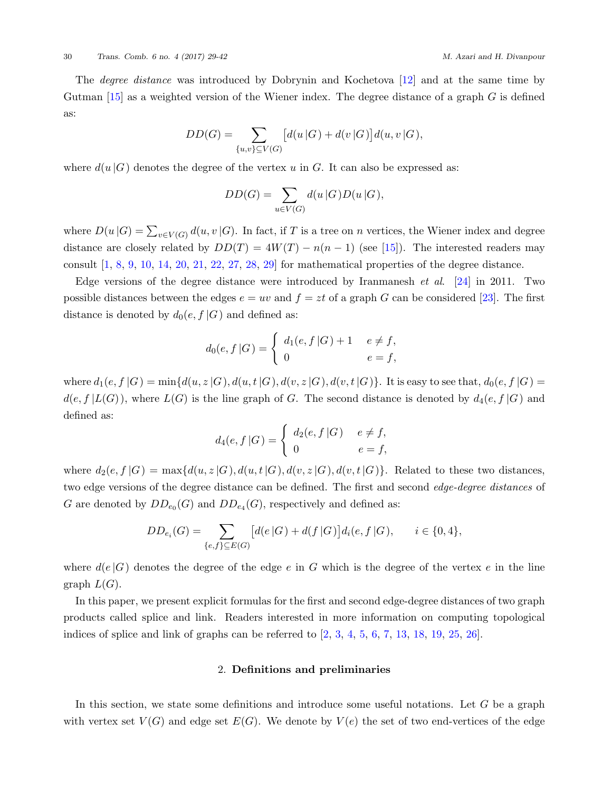The *degree distance* was introduced by Dobrynin and Kochetova [\[12](#page-12-2)] and at the same time by Gutman [[15\]](#page-12-3) as a weighted version of the Wiener index. The degree distance of a graph *G* is defined as:

$$
DD(G) = \sum_{\{u,v\} \subseteq V(G)} [d(u|G) + d(v|G)]d(u,v|G),
$$

where  $d(u|G)$  denotes the degree of the vertex *u* in *G*. It can also be expressed as:

$$
DD(G) = \sum_{u \in V(G)} d(u|G)D(u|G),
$$

where  $D(u|G) = \sum_{v \in V(G)} d(u, v|G)$ . In fact, if *T* is a tree on *n* vertices, the Wiener index and degree distance are closely related by  $DD(T) = 4W(T) - n(n-1)$  (see [[15\]](#page-12-3)). The interested readers may consult  $[1, 8, 9, 10, 14, 20, 21, 22, 27, 28, 29]$  $[1, 8, 9, 10, 14, 20, 21, 22, 27, 28, 29]$  $[1, 8, 9, 10, 14, 20, 21, 22, 27, 28, 29]$  $[1, 8, 9, 10, 14, 20, 21, 22, 27, 28, 29]$  $[1, 8, 9, 10, 14, 20, 21, 22, 27, 28, 29]$  $[1, 8, 9, 10, 14, 20, 21, 22, 27, 28, 29]$  $[1, 8, 9, 10, 14, 20, 21, 22, 27, 28, 29]$  $[1, 8, 9, 10, 14, 20, 21, 22, 27, 28, 29]$  $[1, 8, 9, 10, 14, 20, 21, 22, 27, 28, 29]$  $[1, 8, 9, 10, 14, 20, 21, 22, 27, 28, 29]$  $[1, 8, 9, 10, 14, 20, 21, 22, 27, 28, 29]$  $[1, 8, 9, 10, 14, 20, 21, 22, 27, 28, 29]$  $[1, 8, 9, 10, 14, 20, 21, 22, 27, 28, 29]$  $[1, 8, 9, 10, 14, 20, 21, 22, 27, 28, 29]$  $[1, 8, 9, 10, 14, 20, 21, 22, 27, 28, 29]$  $[1, 8, 9, 10, 14, 20, 21, 22, 27, 28, 29]$  $[1, 8, 9, 10, 14, 20, 21, 22, 27, 28, 29]$  $[1, 8, 9, 10, 14, 20, 21, 22, 27, 28, 29]$  $[1, 8, 9, 10, 14, 20, 21, 22, 27, 28, 29]$  $[1, 8, 9, 10, 14, 20, 21, 22, 27, 28, 29]$  $[1, 8, 9, 10, 14, 20, 21, 22, 27, 28, 29]$  $[1, 8, 9, 10, 14, 20, 21, 22, 27, 28, 29]$  for mathematical properties of the degree distance.

Edge versions of the degree distance were introduced by Iranmanesh *et al*. [\[24](#page-13-7)] in 2011. Two possible distances between the edges  $e = uv$  and  $f = zt$  of a graph *G* can be considered [[23\]](#page-13-8). The first distance is denoted by  $d_0(e, f | G)$  and defined as:

$$
d_0(e, f | G) = \begin{cases} d_1(e, f | G) + 1 & e \neq f, \\ 0 & e = f, \end{cases}
$$

where  $d_1(e, f | G) = min{d(u, z | G), d(u, t | G), d(v, z | G), d(v, t | G)}$ . It is easy to see that,  $d_0(e, f | G) =$  $d(e, f | L(G))$ , where  $L(G)$  is the line graph of *G*. The second distance is denoted by  $d_4(e, f | G)$  and defined as:

$$
d_4(e, f | G) = \begin{cases} d_2(e, f | G) & e \neq f, \\ 0 & e = f, \end{cases}
$$

where  $d_2(e, f | G) = \max\{d(u, z | G), d(u, t | G), d(v, z | G), d(v, t | G)\}\.$  Related to these two distances, two edge versions of the degree distance can be defined. The first and second *edge-degree distances* of *G* are denoted by  $DD_{e_0}(G)$  and  $DD_{e_4}(G)$ , respectively and defined as:

$$
DD_{e_i}(G) = \sum_{\{e,f\} \subseteq E(G)} \left[ d(e|G) + d(f|G) \right] d_i(e, f|G), \qquad i \in \{0,4\},
$$

where  $d(e|G)$  denotes the degree of the edge *e* in *G* which is the degree of the vertex *e* in the line graph  $L(G)$ .

In this paper, we present explicit formulas for the first and second edge-degree distances of two graph products called splice and link. Readers interested in more information on computing topological indices of splice and link of graphs can be referred to  $[2, 3, 4, 5, 6, 7, 13, 18, 19, 25, 26]$  $[2, 3, 4, 5, 6, 7, 13, 18, 19, 25, 26]$  $[2, 3, 4, 5, 6, 7, 13, 18, 19, 25, 26]$  $[2, 3, 4, 5, 6, 7, 13, 18, 19, 25, 26]$  $[2, 3, 4, 5, 6, 7, 13, 18, 19, 25, 26]$  $[2, 3, 4, 5, 6, 7, 13, 18, 19, 25, 26]$  $[2, 3, 4, 5, 6, 7, 13, 18, 19, 25, 26]$  $[2, 3, 4, 5, 6, 7, 13, 18, 19, 25, 26]$  $[2, 3, 4, 5, 6, 7, 13, 18, 19, 25, 26]$  $[2, 3, 4, 5, 6, 7, 13, 18, 19, 25, 26]$  $[2, 3, 4, 5, 6, 7, 13, 18, 19, 25, 26]$  $[2, 3, 4, 5, 6, 7, 13, 18, 19, 25, 26]$  $[2, 3, 4, 5, 6, 7, 13, 18, 19, 25, 26]$  $[2, 3, 4, 5, 6, 7, 13, 18, 19, 25, 26]$  $[2, 3, 4, 5, 6, 7, 13, 18, 19, 25, 26]$  $[2, 3, 4, 5, 6, 7, 13, 18, 19, 25, 26]$  $[2, 3, 4, 5, 6, 7, 13, 18, 19, 25, 26]$  $[2, 3, 4, 5, 6, 7, 13, 18, 19, 25, 26]$  $[2, 3, 4, 5, 6, 7, 13, 18, 19, 25, 26]$  $[2, 3, 4, 5, 6, 7, 13, 18, 19, 25, 26]$  $[2, 3, 4, 5, 6, 7, 13, 18, 19, 25, 26]$  $[2, 3, 4, 5, 6, 7, 13, 18, 19, 25, 26]$ .

## 2. **Definitions and preliminaries**

In this section, we state some definitions and introduce some useful notations. Let *G* be a graph with vertex set  $V(G)$  and edge set  $E(G)$ . We denote by  $V(e)$  the set of two end-vertices of the edge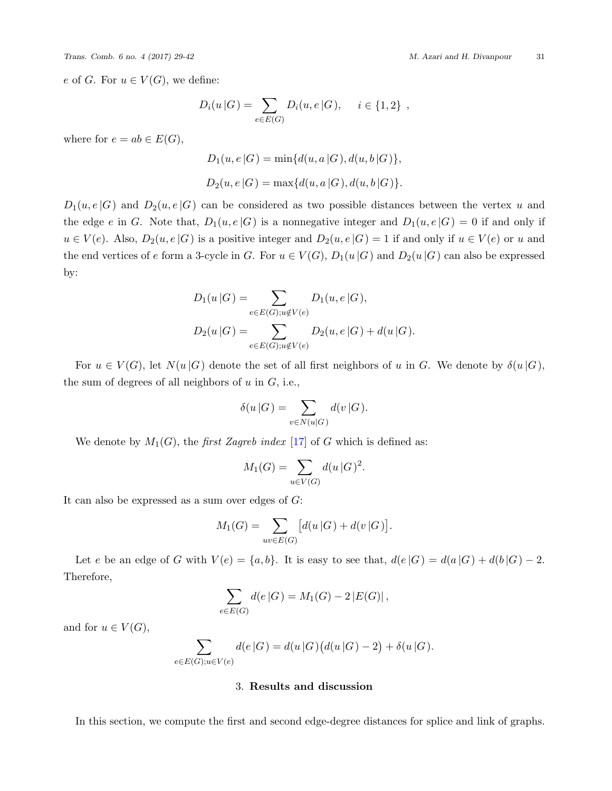*e* of *G*. For  $u \in V(G)$ , we define:

$$
D_i(u|G) = \sum_{e \in E(G)} D_i(u,e|G), \quad i \in \{1,2\} ,
$$

where for  $e = ab \in E(G)$ ,

$$
D_1(u, e | G) = \min\{d(u, a | G), d(u, b | G)\},\
$$
  

$$
D_2(u, e | G) = \max\{d(u, a | G), d(u, b | G)\}.
$$

 $D_1(u, e | G)$  and  $D_2(u, e | G)$  can be considered as two possible distances between the vertex *u* and the edge *e* in *G*. Note that,  $D_1(u, e|G)$  is a nonnegative integer and  $D_1(u, e|G) = 0$  if and only if *u* ∈ *V*(*e*). Also, *D*<sub>2</sub>(*u*,*e* |*G*) is a positive integer and *D*<sub>2</sub>(*u*,*e* |*G*) = 1 if and only if *u* ∈ *V*(*e*) or *u* and the end vertices of *e* form a 3-cycle in *G*. For  $u \in V(G)$ ,  $D_1(u|G)$  and  $D_2(u|G)$  can also be expressed by:

$$
D_1(u|G) = \sum_{e \in E(G); u \notin V(e)} D_1(u, e|G),
$$
  

$$
D_2(u|G) = \sum_{e \in E(G); u \notin V(e)} D_2(u, e|G) + d(u|G).
$$

For  $u \in V(G)$ , let  $N(u|G)$  denote the set of all first neighbors of *u* in *G*. We denote by  $\delta(u|G)$ , the sum of degrees of all neighbors of *u* in *G*, i.e.,

$$
\delta(u|G) = \sum_{v \in N(u|G)} d(v|G).
$$

We denote by  $M_1(G)$ , the *first Zagreb index* [\[17](#page-13-13)] of *G* which is defined as:

$$
M_1(G) = \sum_{u \in V(G)} d(u \, | G)^2.
$$

It can also be expressed as a sum over edges of *G*:

$$
M_1(G) = \sum_{uv \in E(G)} \left[ d(u|G) + d(v|G) \right].
$$

Let e be an edge of G with  $V(e) = \{a, b\}$ . It is easy to see that,  $d(e|G) = d(a|G) + d(b|G) - 2$ . Therefore,

$$
\sum_{e \in E(G)} d(e|G) = M_1(G) - 2|E(G)|,
$$

and for  $u \in V(G)$ ,

$$
\sum_{e \in E(G); u \in V(e)} d(e|G) = d(u|G) (d(u|G) - 2) + \delta(u|G).
$$

3. **Results and discussion**

In this section, we compute the first and second edge-degree distances for splice and link of graphs.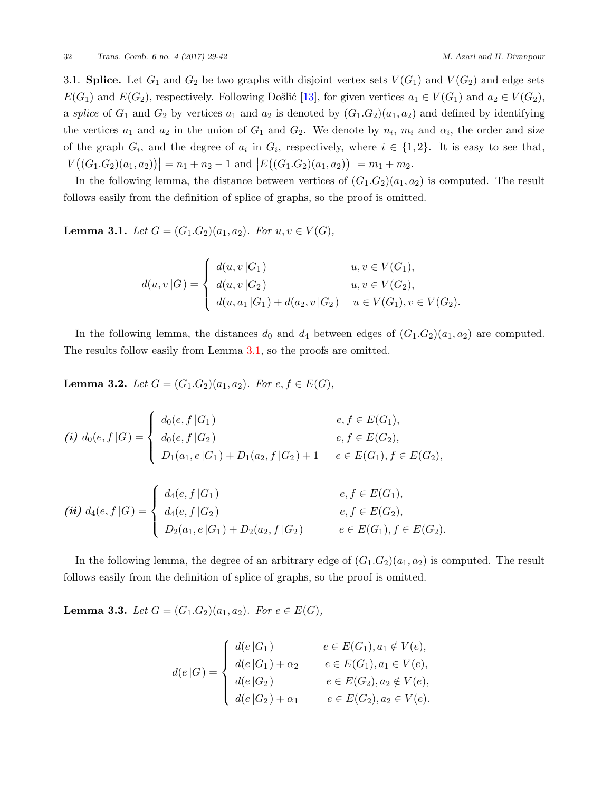3.1. **Splice.** Let  $G_1$  and  $G_2$  be two graphs with disjoint vertex sets  $V(G_1)$  and  $V(G_2)$  and edge sets *E*(*G*<sub>1</sub>) and *E*(*G*<sub>2</sub>), respectively. Following Došlić [\[13](#page-12-15)], for given vertices  $a_1 \in V(G_1)$  and  $a_2 \in V(G_2)$ , a *splice* of  $G_1$  and  $G_2$  by vertices  $a_1$  and  $a_2$  is denoted by  $(G_1.G_2)(a_1, a_2)$  and defined by identifying the vertices  $a_1$  and  $a_2$  in the union of  $G_1$  and  $G_2$ . We denote by  $n_i$ ,  $m_i$  and  $\alpha_i$ , the order and size of the graph  $G_i$ , and the degree of  $a_i$  in  $G_i$ , respectively, where  $i \in \{1,2\}$ . It is easy to see that,  $|V((G_1.G_2)(a_1, a_2))| = n_1 + n_2 - 1$  and  $|E((G_1.G_2)(a_1, a_2))| = m_1 + m_2$ .

In the following lemma, the distance between vertices of  $(G_1,G_2)(a_1,a_2)$  is computed. The result follows easily from the definition of splice of graphs, so the proof is omitted.

<span id="page-3-0"></span>**Lemma 3.1.** *Let*  $G = (G_1.G_2)(a_1, a_2)$ *. For*  $u, v \in V(G)$ *,* 

$$
d(u, v | G) = \begin{cases} d(u, v | G_1) & u, v \in V(G_1), \\ d(u, v | G_2) & u, v \in V(G_2), \\ d(u, a_1 | G_1) + d(a_2, v | G_2) & u \in V(G_1), v \in V(G_2). \end{cases}
$$

In the following lemma, the distances  $d_0$  and  $d_4$  between edges of  $(G_1.G_2)(a_1, a_2)$  are computed. The results follow easily from Lemma [3.1,](#page-3-0) so the proofs are omitted.

<span id="page-3-1"></span>**Lemma 3.2.** *Let*  $G = (G_1.G_2)(a_1, a_2)$ *. For*  $e, f \in E(G)$ *,* 

$$
(i) d_0(e, f | G) = \begin{cases} d_0(e, f | G_1) & e, f \in E(G_1), \\ d_0(e, f | G_2) & e, f \in E(G_2), \\ D_1(a_1, e | G_1) + D_1(a_2, f | G_2) + 1 & e \in E(G_1), f \in E(G_2), \end{cases}
$$

$$
(ii) d_4(e, f | G) = \begin{cases} d_4(e, f | G_1) & e, f \in E(G_1), \\ d_4(e, f | G_2) & e, f \in E(G_2), \\ D_2(a_1, e | G_1) + D_2(a_2, f | G_2) & e \in E(G_1), f \in E(G_2). \end{cases}
$$

In the following lemma, the degree of an arbitrary edge of  $(G_1,G_2)(a_1,a_2)$  is computed. The result follows easily from the definition of splice of graphs, so the proof is omitted.

<span id="page-3-2"></span>**Lemma 3.3.** *Let*  $G = (G_1.G_2)(a_1, a_2)$ *. For*  $e \in E(G)$ *,* 

$$
d(e|G) = \begin{cases} d(e|G_1) & e \in E(G_1), a_1 \notin V(e), \\ d(e|G_1) + \alpha_2 & e \in E(G_1), a_1 \in V(e), \\ d(e|G_2) & e \in E(G_2), a_2 \notin V(e), \\ d(e|G_2) + \alpha_1 & e \in E(G_2), a_2 \in V(e). \end{cases}
$$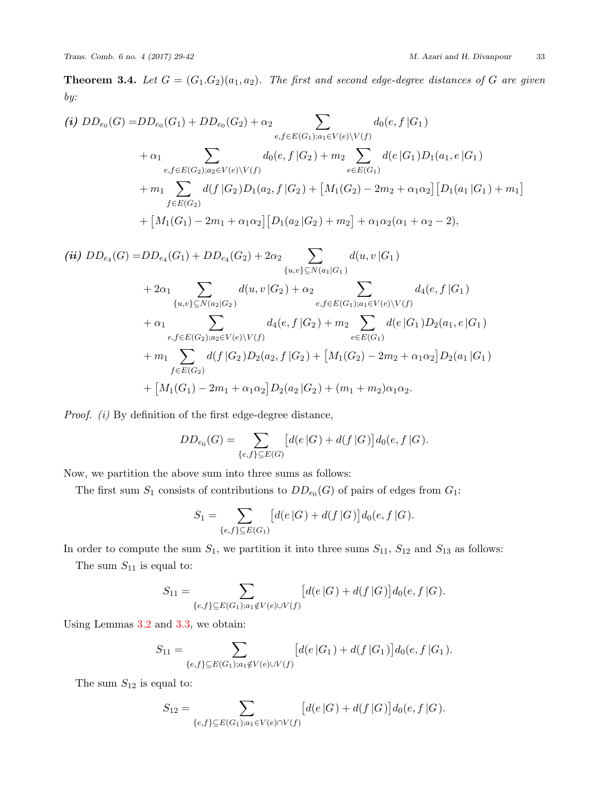**Theorem 3.4.** Let  $G = (G_1.G_2)(a_1, a_2)$ . The first and second edge-degree distances of G are given *by:*

(i) 
$$
DD_{e_0}(G) = DD_{e_0}(G_1) + DD_{e_0}(G_2) + \alpha_2 \sum_{e,f \in E(G_1); a_1 \in V(e) \setminus V(f)} d_0(e, f | G_1)
$$
  
\t $+ \alpha_1 \sum_{e,f \in E(G_2); a_2 \in V(e) \setminus V(f)} d_0(e, f | G_2) + m_2 \sum_{e \in E(G_1)} d(e | G_1)D_1(a_1, e | G_1)$   
\t $+ m_1 \sum_{f \in E(G_2)} d(f | G_2)D_1(a_2, f | G_2) + [M_1(G_2) - 2m_2 + \alpha_1 \alpha_2][D_1(a_1 | G_1) + m_1]$   
\t $+ [M_1(G_1) - 2m_1 + \alpha_1 \alpha_2][D_1(a_2 | G_2) + m_2] + \alpha_1 \alpha_2(\alpha_1 + \alpha_2 - 2),$   
(ii)  $DD_{e_4}(G) = DD_{e_4}(G_1) + DD_{e_4}(G_2) + 2\alpha_2 \sum_{\{u,v\} \subseteq N(a_1|G_1)} d(u, v | G_1)$   
\t $+ 2\alpha_1 \sum_{\{u,v\} \subseteq N(a_2|G_2)} d(u, v | G_2) + \alpha_2 \sum_{e,f \in E(G_1); a_1 \in V(e) \setminus V(f)} d_4(e, f | G_1)$   
\t $+ \alpha_1 \sum_{e,f \in E(G_2); a_2 \in V(e) \setminus V(f)} d_4(e, f | G_2) + m_2 \sum_{e \in E(G_1)} d(e | G_1)D_2(a_1, e | G_1)$   
\t $+ m_1 \sum_{e,f \in E(G_2)D_2(a_2, f | G_2) + [M_1(G_2) - 2m_2 + \alpha_1 \alpha_2]D_2(a_1 | G_1)$ 

$$
OD_{e_{4}}(G) = DD_{e_{4}}(G_{1}) + DD_{e_{4}}(G_{2}) + 2\alpha_{2} \sum_{\{u,v\} \subseteq N(a_{1}|G_{1})} d(u, v | G_{1})
$$
  
+  $2\alpha_{1} \sum_{\{u,v\} \subseteq N(a_{2}|G_{2})} d(u, v | G_{2}) + \alpha_{2} \sum_{e,f \in E(G_{1}); a_{1} \in V(e) \setminus V(f)} d_{4}(e, f | G_{1})$   
+  $\alpha_{1} \sum_{e,f \in E(G_{2}); a_{2} \in V(e) \setminus V(f)} d_{4}(e, f | G_{2}) + m_{2} \sum_{e \in E(G_{1})} d(e | G_{1})D_{2}(a_{1}, e | G_{1})$   
+  $m_{1} \sum_{f \in E(G_{2})} d(f | G_{2})D_{2}(a_{2}, f | G_{2}) + [M_{1}(G_{2}) - 2m_{2} + \alpha_{1}\alpha_{2}]D_{2}(a_{1} | G_{1})$   
+  $[M_{1}(G_{1}) - 2m_{1} + \alpha_{1}\alpha_{2}]D_{2}(a_{2} | G_{2}) + (m_{1} + m_{2})\alpha_{1}\alpha_{2}.$ 

*Proof. (i)* By definition of the first edge-degree distance,

$$
DD_{e_0}(G) = \sum_{\{e,f\} \subseteq E(G)} \big[d(e|G) + d(f|G)\big] d_0(e, f|G).
$$

Now, we partition the above sum into three sums as follows:

The first sum  $S_1$  consists of contributions to  $DD_{e_0}(G)$  of pairs of edges from  $G_1$ :

$$
S_1 = \sum_{\{e,f\} \subseteq E(G_1)} [d(e|G) + d(f|G)]d_0(e, f|G).
$$

In order to compute the sum  $S_1$ , we partition it into three sums  $S_{11}$ ,  $S_{12}$  and  $S_{13}$  as follows:

The sum  $S_{11}$  is equal to:

$$
S_{11} = \sum_{\{e,f\} \subseteq E(G_1); a_1 \notin V(e) \cup V(f)} [d(e|G) + d(f|G)]d_0(e, f|G).
$$

Using Lemmas [3.2](#page-3-1) and [3.3](#page-3-2), we obtain:

$$
S_{11} = \sum_{\{e,f\} \subseteq E(G_1); a_1 \notin V(e) \cup V(f)} [d(e|G_1) + d(f|G_1)]d_0(e, f|G_1).
$$

The sum  $S_{12}$  is equal to:

$$
S_{12} = \sum_{\{e,f\} \subseteq E(G_1); a_1 \in V(e) \cap V(f)} [d(e|G) + d(f|G)]d_0(e, f|G).
$$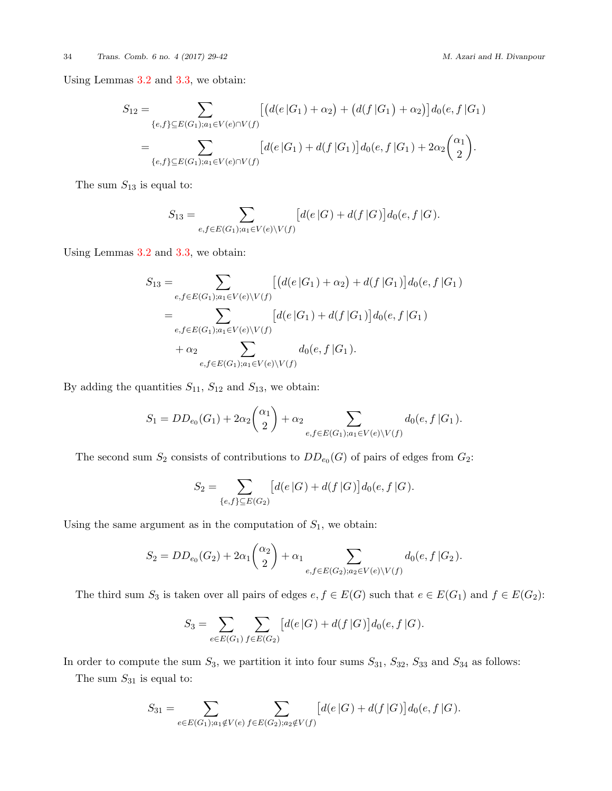Using Lemmas [3.2](#page-3-1) and [3.3](#page-3-2), we obtain:

$$
S_{12} = \sum_{\{e,f\} \subseteq E(G_1); a_1 \in V(e) \cap V(f)} \left[ \left( d(e|G_1) + \alpha_2 \right) + \left( d(f|G_1) + \alpha_2 \right) \right] d_0(e, f|G_1)
$$
  
= 
$$
\sum_{\{e,f\} \subseteq E(G_1); a_1 \in V(e) \cap V(f)} \left[ d(e|G_1) + d(f|G_1) \right] d_0(e, f|G_1) + 2\alpha_2 { \alpha_1 \choose 2}.
$$

The sum *S*<sup>13</sup> is equal to:

$$
S_{13} = \sum_{e,f \in E(G_1); a_1 \in V(e) \backslash V(f)} \left[ d(e|G) + d(f|G) \right] d_0(e,f|G).
$$

Using Lemmas [3.2](#page-3-1) and [3.3](#page-3-2), we obtain:

$$
S_{13} = \sum_{e,f \in E(G_1); a_1 \in V(e) \setminus V(f)} \left[ \left( d(e|G_1) + \alpha_2 \right) + d(f|G_1) \right] d_0(e, f|G_1)
$$
  
= 
$$
\sum_{e,f \in E(G_1); a_1 \in V(e) \setminus V(f)} \left[ d(e|G_1) + d(f|G_1) \right] d_0(e, f|G_1)
$$
  
+ 
$$
\alpha_2 \sum_{e,f \in E(G_1); a_1 \in V(e) \setminus V(f)} d_0(e, f|G_1).
$$

By adding the quantities  $S_{11}$ ,  $S_{12}$  and  $S_{13}$ , we obtain:

$$
S_1 = DD_{e_0}(G_1) + 2\alpha_2 {\binom{\alpha_1}{2}} + \alpha_2 \sum_{e,f \in E(G_1); a_1 \in V(e) \backslash V(f)} d_0(e,f|G_1).
$$

The second sum  $S_2$  consists of contributions to  $DD_{e_0}(G)$  of pairs of edges from  $G_2$ :

$$
S_2 = \sum_{\{e,f\} \subseteq E(G_2)} [d(e|G) + d(f|G)]d_0(e, f|G).
$$

Using the same argument as in the computation of  $S_1$ , we obtain:

$$
S_2 = DD_{e_0}(G_2) + 2\alpha_1 {\binom{\alpha_2}{2}} + \alpha_1 \sum_{e,f \in E(G_2); a_2 \in V(e) \setminus V(f)} d_0(e, f \mid G_2).
$$

The third sum  $S_3$  is taken over all pairs of edges  $e, f \in E(G)$  such that  $e \in E(G_1)$  and  $f \in E(G_2)$ :

$$
S_3 = \sum_{e \in E(G_1)} \sum_{f \in E(G_2)} [d(e|G) + d(f|G)] d_0(e, f|G).
$$

In order to compute the sum *S*3, we partition it into four sums *S*31, *S*32, *S*<sup>33</sup> and *S*<sup>34</sup> as follows:

The sum  $S_{31}$  is equal to:

$$
S_{31} = \sum_{e \in E(G_1); a_1 \notin V(e)} \sum_{f \in E(G_2); a_2 \notin V(f)} \left[ d(e|G) + d(f|G) \right] d_0(e, f|G).
$$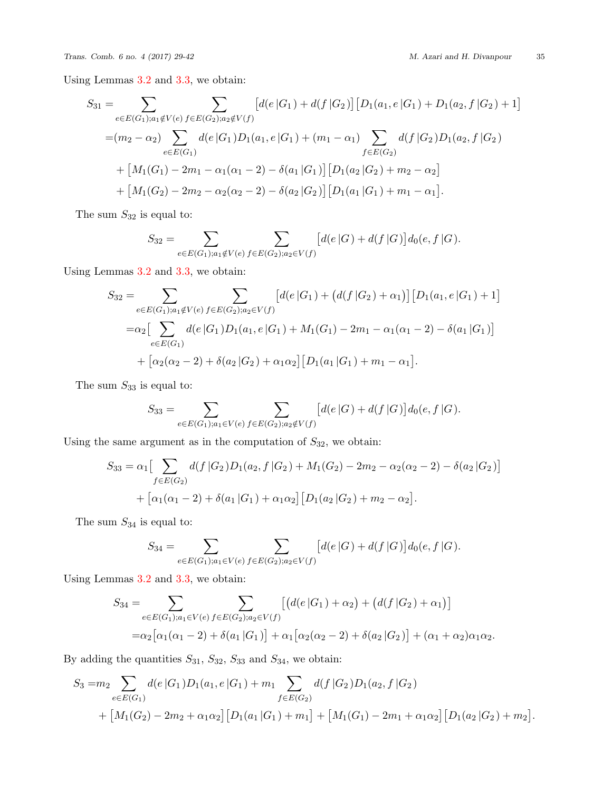Using Lemmas [3.2](#page-3-1) and [3.3](#page-3-2), we obtain:

$$
S_{31} = \sum_{e \in E(G_1); a_1 \notin V(e)} \sum_{f \in E(G_2); a_2 \notin V(f)} \left[ d(e|G_1) + d(f|G_2) \right] \left[ D_1(a_1, e|G_1) + D_1(a_2, f|G_2) + 1 \right]
$$
  
=  $(m_2 - \alpha_2) \sum_{e \in E(G_1)} d(e|G_1)D_1(a_1, e|G_1) + (m_1 - \alpha_1) \sum_{f \in E(G_2)} d(f|G_2)D_1(a_2, f|G_2)$   
+  $\left[ M_1(G_1) - 2m_1 - \alpha_1(\alpha_1 - 2) - \delta(a_1|G_1) \right] \left[ D_1(a_2|G_2) + m_2 - \alpha_2 \right]$   
+  $\left[ M_1(G_2) - 2m_2 - \alpha_2(\alpha_2 - 2) - \delta(a_2|G_2) \right] \left[ D_1(a_1|G_1) + m_1 - \alpha_1 \right].$ 

The sum  $S_{32}$  is equal to:

$$
S_{32} = \sum_{e \in E(G_1); a_1 \notin V(e)} \sum_{f \in E(G_2); a_2 \in V(f)} [d(e|G) + d(f|G)] d_0(e, f|G).
$$

Using Lemmas [3.2](#page-3-1) and [3.3](#page-3-2), we obtain:

$$
S_{32} = \sum_{e \in E(G_1); a_1 \notin V(e)} \sum_{f \in E(G_2); a_2 \in V(f)} [d(e|G_1) + (d(f|G_2) + \alpha_1)] [D_1(a_1, e|G_1) + 1]
$$
  
=
$$
\alpha_2 \Big[ \sum_{e \in E(G_1)} d(e|G_1)D_1(a_1, e|G_1) + M_1(G_1) - 2m_1 - \alpha_1(\alpha_1 - 2) - \delta(a_1|G_1) \Big]
$$
  
+ 
$$
\Big[ \alpha_2(\alpha_2 - 2) + \delta(\alpha_2|G_2) + \alpha_1\alpha_2 \Big] [D_1(a_1|G_1) + m_1 - \alpha_1].
$$

The sum  $\mathcal{S}_{33}$  is equal to:

$$
S_{33} = \sum_{e \in E(G_1); a_1 \in V(e)} \sum_{f \in E(G_2); a_2 \notin V(f)} [d(e|G) + d(f|G)] d_0(e, f|G).
$$

Using the same argument as in the computation of  $S_{32}$ , we obtain:

$$
S_{33} = \alpha_1 \left[ \sum_{f \in E(G_2)} d(f|G_2)D_1(a_2, f|G_2) + M_1(G_2) - 2m_2 - \alpha_2(\alpha_2 - 2) - \delta(a_2|G_2) \right]
$$
  
+  $\left[ \alpha_1(\alpha_1 - 2) + \delta(a_1|G_1) + \alpha_1\alpha_2 \right] \left[ D_1(a_2|G_2) + m_2 - \alpha_2 \right].$ 

The sum  $\mathcal{S}_{34}$  is equal to:

$$
S_{34} = \sum_{e \in E(G_1); a_1 \in V(e)} \sum_{f \in E(G_2); a_2 \in V(f)} [d(e|G) + d(f|G)] d_0(e, f|G).
$$

Using Lemmas [3.2](#page-3-1) and [3.3](#page-3-2), we obtain:

$$
S_{34} = \sum_{e \in E(G_1); a_1 \in V(e)} \sum_{f \in E(G_2); a_2 \in V(f)} \left[ \left( d(e|G_1) + \alpha_2 \right) + \left( d(f|G_2) + \alpha_1 \right) \right] = \alpha_2 \left[ \alpha_1(\alpha_1 - 2) + \delta(a_1|G_1) \right] + \alpha_1 \left[ \alpha_2(\alpha_2 - 2) + \delta(a_2|G_2) \right] + (\alpha_1 + \alpha_2)\alpha_1\alpha_2.
$$

By adding the quantities  $S_{31}$ ,  $S_{32}$ ,  $S_{33}$  and  $S_{34}$ , we obtain:

$$
S_3 = m_2 \sum_{e \in E(G_1)} d(e|G_1)D_1(a_1, e|G_1) + m_1 \sum_{f \in E(G_2)} d(f|G_2)D_1(a_2, f|G_2)
$$
  
+ 
$$
[M_1(G_2) - 2m_2 + \alpha_1 \alpha_2] [D_1(a_1|G_1) + m_1] + [M_1(G_1) - 2m_1 + \alpha_1 \alpha_2] [D_1(a_2|G_2) + m_2].
$$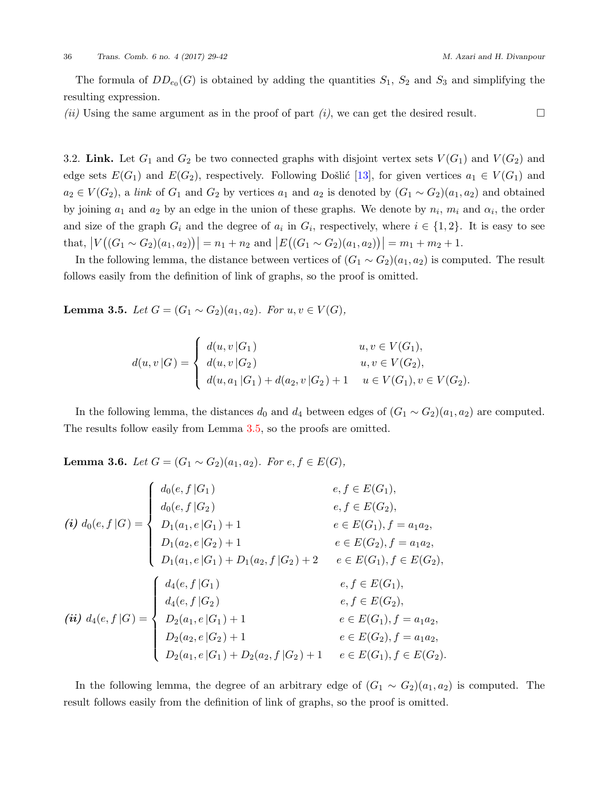The formula of  $DD_{e_0}(G)$  is obtained by adding the quantities  $S_1$ ,  $S_2$  and  $S_3$  and simplifying the resulting expression.

*(ii)* Using the same argument as in the proof of part *(i)*, we can get the desired result. □

3.2. **Link.** Let  $G_1$  and  $G_2$  be two connected graphs with disjoint vertex sets  $V(G_1)$  and  $V(G_2)$  and edge sets  $E(G_1)$  and  $E(G_2)$ , respectively. Following Došlić [[13\]](#page-12-15), for given vertices  $a_1 \in V(G_1)$  and  $a_2 \in V(G_2)$ , a *link* of  $G_1$  and  $G_2$  by vertices  $a_1$  and  $a_2$  is denoted by  $(G_1 \sim G_2)(a_1, a_2)$  and obtained by joining  $a_1$  and  $a_2$  by an edge in the union of these graphs. We denote by  $n_i$ ,  $m_i$  and  $\alpha_i$ , the order and size of the graph  $G_i$  and the degree of  $a_i$  in  $G_i$ , respectively, where  $i \in \{1,2\}$ . It is easy to see that,  $|V((G_1 \sim G_2)(a_1, a_2))|=n_1+n_2$  and  $|E((G_1 \sim G_2)(a_1, a_2))|=m_1+m_2+1$ .

In the following lemma, the distance between vertices of  $(G_1 \sim G_2)(a_1, a_2)$  is computed. The result follows easily from the definition of link of graphs, so the proof is omitted.

<span id="page-7-0"></span>**Lemma 3.5.** *Let G* =  $(G_1 ∼ G_2)(a_1, a_2)$ *. For u, v* ∈ *V*(*G*)*,* 

$$
d(u, v | G) = \begin{cases} d(u, v | G_1) & u, v \in V(G_1), \\ d(u, v | G_2) & u, v \in V(G_2), \\ d(u, a_1 | G_1) + d(a_2, v | G_2) + 1 & u \in V(G_1), v \in V(G_2). \end{cases}
$$

In the following lemma, the distances  $d_0$  and  $d_4$  between edges of  $(G_1 \sim G_2)(a_1, a_2)$  are computed. The results follow easily from Lemma [3.5,](#page-7-0) so the proofs are omitted.

<span id="page-7-1"></span>**Lemma 3.6.** *Let*  $G = (G_1 \sim G_2)(a_1, a_2)$ *. For*  $e, f \in E(G)$ *,* 

$$
(i) d_0(e, f | G) = \begin{cases} d_0(e, f | G_1) & e, f \in E(G_1), \\ d_0(e, f | G_2) & e, f \in E(G_2), \\ D_1(a_1, e | G_1) + 1 & e \in E(G_1), f = a_1 a_2, \\ D_1(a_2, e | G_2) + 1 & e \in E(G_2), f = a_1 a_2, \\ D_1(a_1, e | G_1) + D_1(a_2, f | G_2) + 2 & e \in E(G_1), f \in E(G_2), \\ d_4(e, f | G_1) & e, f \in E(G_1), \\ d_4(e, f | G_2) & e, f \in E(G_2), \\ D_2(a_1, e | G_1) + 1 & e \in E(G_1), f = a_1 a_2, \\ D_2(a_2, e | G_2) + 1 & e \in E(G_2), f = a_1 a_2, \\ D_2(a_1, e | G_1) + D_2(a_2, f | G_2) + 1 & e \in E(G_1), f \in E(G_2). \end{cases}
$$

In the following lemma, the degree of an arbitrary edge of  $(G_1 \sim G_2)(a_1, a_2)$  is computed. The result follows easily from the definition of link of graphs, so the proof is omitted.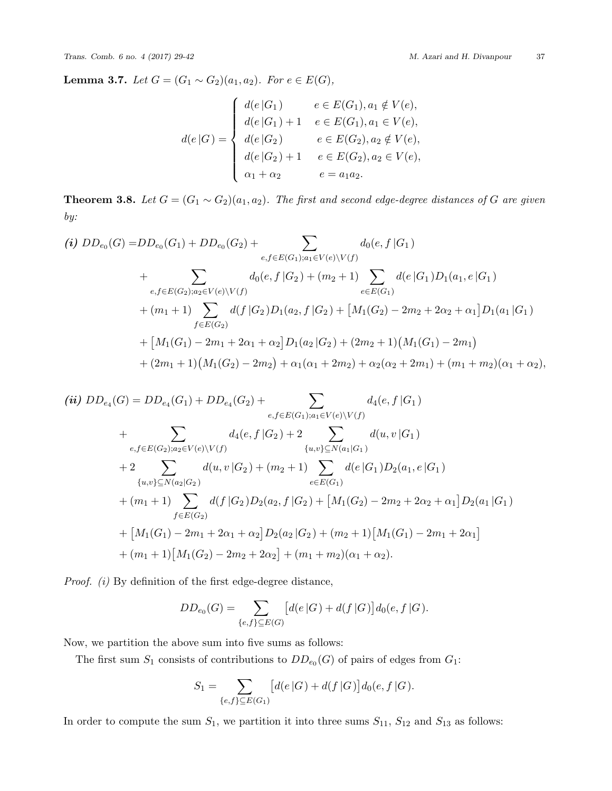<span id="page-8-0"></span>**Lemma 3.7.** *Let*  $G = (G_1 ∼ G_2)(a_1, a_2)$ *. For*  $e ∈ E(G)$ *,* 

$$
d(e|G) = \begin{cases} d(e|G_1) & e \in E(G_1), a_1 \notin V(e), \\ d(e|G_1) + 1 & e \in E(G_1), a_1 \in V(e), \\ d(e|G_2) & e \in E(G_2), a_2 \notin V(e), \\ d(e|G_2) + 1 & e \in E(G_2), a_2 \in V(e), \\ \alpha_1 + \alpha_2 & e = a_1 a_2. \end{cases}
$$

**Theorem 3.8.** *Let*  $G = (G_1 \sim G_2)(a_1, a_2)$ *. The first and second edge-degree distances of*  $G$  *are given by:*

(i) 
$$
DD_{e_0}(G) = DD_{e_0}(G_1) + DD_{e_0}(G_2) + \sum_{e,f \in E(G_1); a_1 \in V(e) \setminus V(f)} d_0(e, f | G_1)
$$
  
+ 
$$
\sum_{e,f \in E(G_2); a_2 \in V(e) \setminus V(f)} d_0(e, f | G_2) + (m_2 + 1) \sum_{e \in E(G_1)} d(e | G_1)D_1(a_1, e | G_1)
$$
  
+ 
$$
(m_1 + 1) \sum_{f \in E(G_2)} d(f | G_2)D_1(a_2, f | G_2) + [M_1(G_2) - 2m_2 + 2\alpha_2 + \alpha_1]D_1(a_1 | G_1)
$$
  
+ 
$$
[M_1(G_1) - 2m_1 + 2\alpha_1 + \alpha_2]D_1(a_2 | G_2) + (2m_2 + 1)(M_1(G_1) - 2m_1)
$$
  
+ 
$$
(2m_1 + 1)(M_1(G_2) - 2m_2) + \alpha_1(\alpha_1 + 2m_2) + \alpha_2(\alpha_2 + 2m_1) + (m_1 + m_2)(\alpha_1 + \alpha_2),
$$

(ii) 
$$
DD_{e_4}(G) = DD_{e_4}(G_1) + DD_{e_4}(G_2) + \sum_{e,f \in E(G_1); a_1 \in V(e) \setminus V(f)} d_4(e, f | G_1)
$$
  
+ 
$$
\sum_{e,f \in E(G_2); a_2 \in V(e) \setminus V(f)} d_4(e, f | G_2) + 2 \sum_{\{u,v\} \subseteq N(a_1|G_1)} d(u, v | G_1)
$$
  
+ 
$$
2 \sum_{\{u,v\} \subseteq N(a_2|G_2)} d(u, v | G_2) + (m_2 + 1) \sum_{e \in E(G_1)} d(e | G_1) D_2(a_1, e | G_1)
$$
  
+ 
$$
(m_1 + 1) \sum_{f \in E(G_2)} d(f | G_2) D_2(a_2, f | G_2) + [M_1(G_2) - 2m_2 + 2\alpha_2 + \alpha_1] D_2(a_1 | G_1)
$$
  
+ 
$$
[M_1(G_1) - 2m_1 + 2\alpha_1 + \alpha_2] D_2(a_2 | G_2) + (m_2 + 1) [M_1(G_1) - 2m_1 + 2\alpha_1]
$$
  
+ 
$$
(m_1 + 1) [M_1(G_2) - 2m_2 + 2\alpha_2] + (m_1 + m_2)(\alpha_1 + \alpha_2).
$$

*Proof. (i)* By definition of the first edge-degree distance,

$$
DD_{e_0}(G) = \sum_{\{e,f\} \subseteq E(G)} [d(e|G) + d(f|G)]d_0(e, f|G).
$$

Now, we partition the above sum into five sums as follows:

The first sum  $S_1$  consists of contributions to  $DD_{e_0}(G)$  of pairs of edges from  $G_1$ :

$$
S_1 = \sum_{\{e,f\} \subseteq E(G_1)} [d(e|G) + d(f|G)]d_0(e, f|G).
$$

In order to compute the sum  $S_1$ , we partition it into three sums  $S_{11}$ ,  $S_{12}$  and  $S_{13}$  as follows: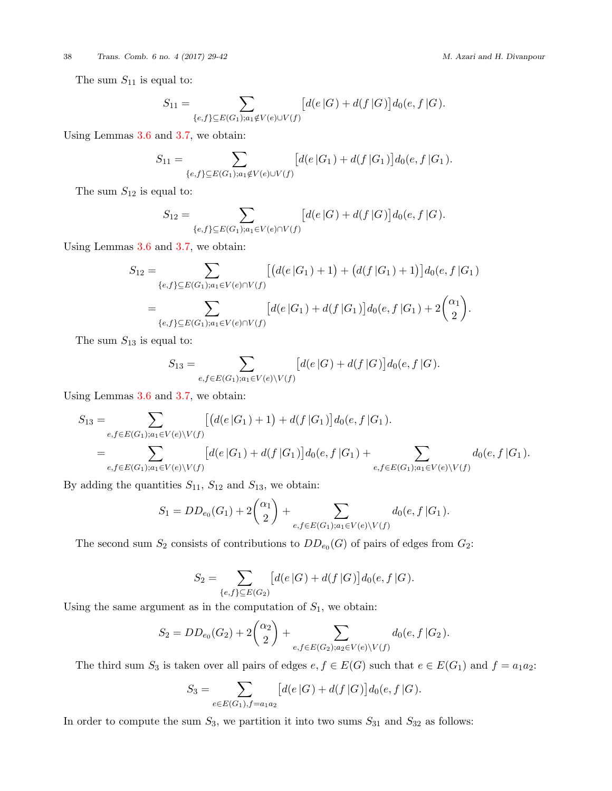### 38 *Trans. Comb. 6 no. 4 (2017) 29-42 M. Azari and H. Divanpour*

The sum  $S_{11}$  is equal to:

$$
S_{11} = \sum_{\{e,f\} \subseteq E(G_1); a_1 \notin V(e) \cup V(f)} [d(e|G) + d(f|G)]d_0(e, f|G).
$$

Using Lemmas [3.6](#page-7-1) and [3.7](#page-8-0), we obtain:

$$
S_{11} = \sum_{\{e,f\} \subseteq E(G_1); a_1 \notin V(e) \cup V(f)} [d(e|G_1) + d(f|G_1)]d_0(e, f|G_1).
$$

The sum *S*<sup>12</sup> is equal to:

$$
S_{12} = \sum_{\{e,f\} \subseteq E(G_1); a_1 \in V(e) \cap V(f)} [d(e|G) + d(f|G)]d_0(e, f|G).
$$

Using Lemmas [3.6](#page-7-1) and [3.7](#page-8-0), we obtain:

$$
S_{12} = \sum_{\{e,f\} \subseteq E(G_1); a_1 \in V(e) \cap V(f)} \left[ \left( d(e|G_1) + 1 \right) + \left( d(f|G_1) + 1 \right) \right] d_0(e, f|G_1)
$$
  
= 
$$
\sum_{\{e,f\} \subseteq E(G_1); a_1 \in V(e) \cap V(f)} \left[ d(e|G_1) + d(f|G_1) \right] d_0(e, f|G_1) + 2 \binom{\alpha_1}{2}.
$$

The sum *S*<sup>13</sup> is equal to:

$$
S_{13} = \sum_{e,f \in E(G_1); a_1 \in V(e) \backslash V(f)} [d(e|G) + d(f|G)] d_0(e, f|G).
$$

Using Lemmas [3.6](#page-7-1) and [3.7](#page-8-0), we obtain:

$$
S_{13} = \sum_{e,f \in E(G_1); a_1 \in V(e) \setminus V(f)} \left[ \left( d(e|G_1) + 1 \right) + d(f|G_1) \right] d_0(e, f|G_1).
$$
  
= 
$$
\sum_{e,f \in E(G_1); a_1 \in V(e) \setminus V(f)} \left[ d(e|G_1) + d(f|G_1) \right] d_0(e, f|G_1) + \sum_{e,f \in E(G_1); a_1 \in V(e) \setminus V(f)} d_0(e, f|G_1).
$$

By adding the quantities  $S_{11}$ ,  $S_{12}$  and  $S_{13}$ , we obtain:

$$
S_1 = DD_{e_0}(G_1) + 2\binom{\alpha_1}{2} + \sum_{e,f \in E(G_1); a_1 \in V(e) \setminus V(f)} d_0(e, f \mid G_1).
$$

The second sum  $S_2$  consists of contributions to  $DD_{e_0}(G)$  of pairs of edges from  $G_2$ :

$$
S_2 = \sum_{\{e,f\} \subseteq E(G_2)} [d(e|G) + d(f|G)]d_0(e, f|G).
$$

Using the same argument as in the computation of  $S_1$ , we obtain:

$$
S_2 = DD_{e_0}(G_2) + 2\binom{\alpha_2}{2} + \sum_{e,f \in E(G_2); a_2 \in V(e) \setminus V(f)} d_0(e, f \mid G_2).
$$

The third sum  $S_3$  is taken over all pairs of edges  $e, f \in E(G)$  such that  $e \in E(G_1)$  and  $f = a_1 a_2$ :

$$
S_3 = \sum_{e \in E(G_1), f = a_1 a_2} [d(e|G) + d(f|G)] d_0(e, f|G).
$$

In order to compute the sum  $S_3$ , we partition it into two sums  $S_{31}$  and  $S_{32}$  as follows: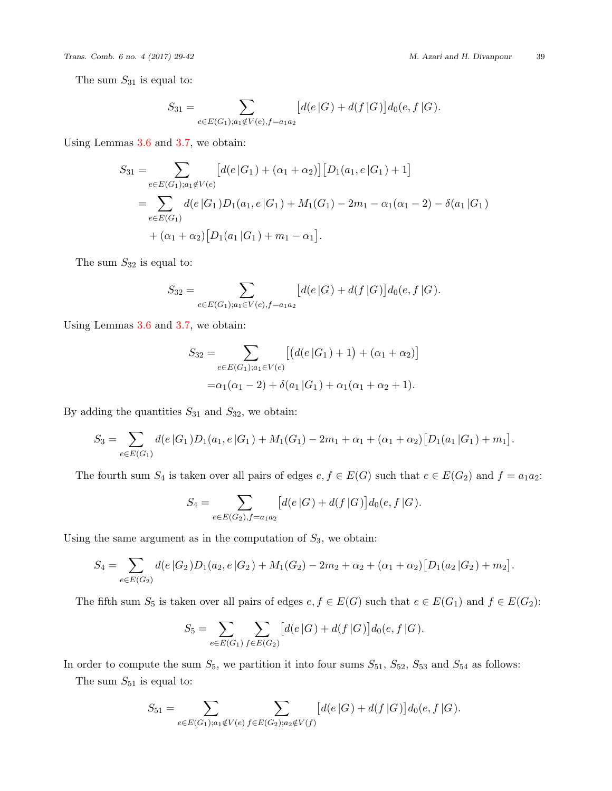The sum  $S_{31}$  is equal to:

$$
S_{31} = \sum_{e \in E(G_1); a_1 \notin V(e), f = a_1 a_2} [d(e|G) + d(f|G)] d_0(e, f|G).
$$

Using Lemmas [3.6](#page-7-1) and [3.7](#page-8-0), we obtain:

$$
S_{31} = \sum_{e \in E(G_1); a_1 \notin V(e)} [d(e|G_1) + (\alpha_1 + \alpha_2)] [D_1(a_1, e|G_1) + 1]
$$
  
= 
$$
\sum_{e \in E(G_1)} d(e|G_1)D_1(a_1, e|G_1) + M_1(G_1) - 2m_1 - \alpha_1(\alpha_1 - 2) - \delta(a_1|G_1)
$$
  
+ 
$$
(\alpha_1 + \alpha_2)[D_1(a_1|G_1) + m_1 - \alpha_1].
$$

The sum *S*<sup>32</sup> is equal to:

$$
S_{32} = \sum_{e \in E(G_1); a_1 \in V(e), f = a_1 a_2} [d(e|G) + d(f|G)] d_0(e, f|G).
$$

Using Lemmas [3.6](#page-7-1) and [3.7](#page-8-0), we obtain:

$$
S_{32} = \sum_{e \in E(G_1); a_1 \in V(e)} [(d(e|G_1) + 1) + (\alpha_1 + \alpha_2)]
$$
  
=  $\alpha_1(\alpha_1 - 2) + \delta(a_1|G_1) + \alpha_1(\alpha_1 + \alpha_2 + 1).$ 

By adding the quantities  $S_{31}$  and  $S_{32}$ , we obtain:

$$
S_3 = \sum_{e \in E(G_1)} d(e|G_1)D_1(a_1, e|G_1) + M_1(G_1) - 2m_1 + \alpha_1 + (\alpha_1 + \alpha_2)[D_1(a_1|G_1) + m_1].
$$

The fourth sum  $S_4$  is taken over all pairs of edges  $e, f \in E(G)$  such that  $e \in E(G_2)$  and  $f = a_1 a_2$ :

$$
S_4 = \sum_{e \in E(G_2), f = a_1 a_2} \left[ d(e|G) + d(f|G) \right] d_0(e, f|G).
$$

Using the same argument as in the computation of  $S_3$ , we obtain:

$$
S_4 = \sum_{e \in E(G_2)} d(e|G_2)D_1(a_2, e|G_2) + M_1(G_2) - 2m_2 + \alpha_2 + (\alpha_1 + \alpha_2)[D_1(a_2|G_2) + m_2].
$$

The fifth sum  $S_5$  is taken over all pairs of edges  $e, f \in E(G)$  such that  $e \in E(G_1)$  and  $f \in E(G_2)$ :

$$
S_5 = \sum_{e \in E(G_1)} \sum_{f \in E(G_2)} [d(e|G) + d(f|G)] d_0(e, f|G).
$$

In order to compute the sum  $S_5$ , we partition it into four sums  $S_{51}$ ,  $S_{52}$ ,  $S_{53}$  and  $S_{54}$  as follows:

The sum  $S_{51}$  is equal to:

$$
S_{51} = \sum_{e \in E(G_1); a_1 \notin V(e)} \sum_{f \in E(G_2); a_2 \notin V(f)} \left[ d(e|G) + d(f|G) \right] d_0(e, f|G).
$$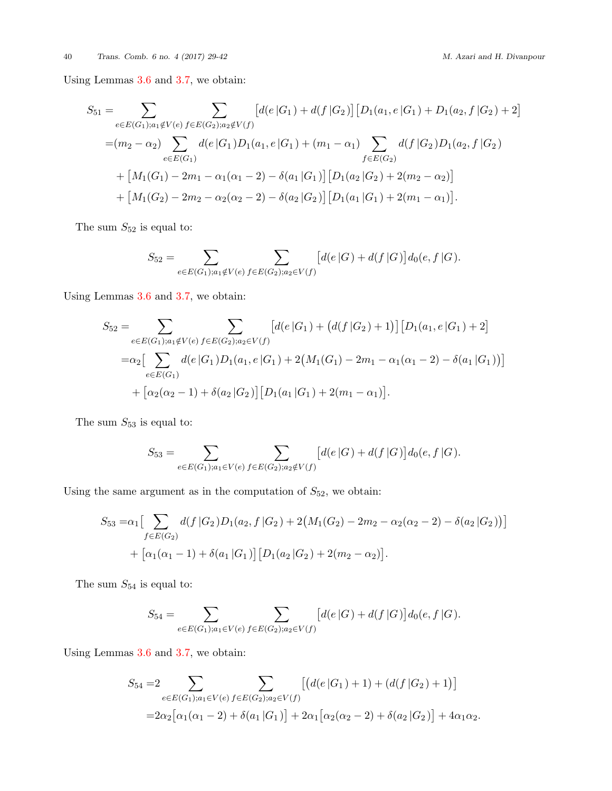40 *Trans. Comb. 6 no. 4 (2017) 29-42 M. Azari and H. Divanpour*

Using Lemmas [3.6](#page-7-1) and [3.7](#page-8-0), we obtain:

$$
S_{51} = \sum_{e \in E(G_1); a_1 \notin V(e)} \sum_{f \in E(G_2); a_2 \notin V(f)} \left[ d(e|G_1) + d(f|G_2) \right] \left[ D_1(a_1, e|G_1) + D_1(a_2, f|G_2) + 2 \right]
$$
  
\n
$$
= (m_2 - \alpha_2) \sum_{e \in E(G_1)} d(e|G_1) D_1(a_1, e|G_1) + (m_1 - \alpha_1) \sum_{f \in E(G_2)} d(f|G_2) D_1(a_2, f|G_2)
$$
  
\n
$$
+ \left[ M_1(G_1) - 2m_1 - \alpha_1(\alpha_1 - 2) - \delta(a_1|G_1) \right] \left[ D_1(a_2|G_2) + 2(m_2 - \alpha_2) \right]
$$
  
\n
$$
+ \left[ M_1(G_2) - 2m_2 - \alpha_2(\alpha_2 - 2) - \delta(a_2|G_2) \right] \left[ D_1(a_1|G_1) + 2(m_1 - \alpha_1) \right].
$$

The sum  $S_{52}$  is equal to:

$$
S_{52} = \sum_{e \in E(G_1); a_1 \notin V(e)} \sum_{f \in E(G_2); a_2 \in V(f)} [d(e|G) + d(f|G)] d_0(e, f|G).
$$

Using Lemmas [3.6](#page-7-1) and [3.7](#page-8-0), we obtain:

$$
S_{52} = \sum_{e \in E(G_1); a_1 \notin V(e)} \sum_{f \in E(G_2); a_2 \in V(f)} [d(e|G_1) + (d(f|G_2) + 1)][D_1(a_1, e|G_1) + 2]
$$
  
=
$$
\alpha_2 \Big[ \sum_{e \in E(G_1)} d(e|G_1)D_1(a_1, e|G_1) + 2(M_1(G_1) - 2m_1 - \alpha_1(\alpha_1 - 2) - \delta(a_1|G_1)) \Big]
$$
  
+ 
$$
[\alpha_2(\alpha_2 - 1) + \delta(\alpha_2|G_2)][D_1(a_1|G_1) + 2(m_1 - \alpha_1)].
$$

The sum  $\mathcal{S}_{53}$  is equal to:

$$
S_{53} = \sum_{e \in E(G_1); a_1 \in V(e)} \sum_{f \in E(G_2); a_2 \notin V(f)} [d(e|G) + d(f|G)]d_0(e, f|G).
$$

Using the same argument as in the computation of  $S_{52}$ , we obtain:

$$
S_{53} = \alpha_1 \Big[ \sum_{f \in E(G_2)} d(f \, | G_2) D_1(a_2, f \, | G_2) + 2 \big( M_1(G_2) - 2m_2 - \alpha_2(\alpha_2 - 2) - \delta(a_2 \, | G_2) \big) \Big] + \Big[ \alpha_1(\alpha_1 - 1) + \delta(\alpha_1 \, | G_1) \Big] \Big[ D_1(a_2 \, | G_2) + 2(m_2 - \alpha_2) \Big].
$$

The sum  $\mathcal{S}_{54}$  is equal to:

$$
S_{54} = \sum_{e \in E(G_1); a_1 \in V(e)} \sum_{f \in E(G_2); a_2 \in V(f)} [d(e|G) + d(f|G)] d_0(e, f|G).
$$

Using Lemmas [3.6](#page-7-1) and [3.7](#page-8-0), we obtain:

$$
S_{54} = 2 \sum_{e \in E(G_1); a_1 \in V(e)} \sum_{f \in E(G_2); a_2 \in V(f)} \left[ \left( d(e|G_1) + 1 \right) + \left( d(f|G_2) + 1 \right) \right]
$$
  
=  $2\alpha_2 \left[ \alpha_1(\alpha_1 - 2) + \delta(a_1|G_1) \right] + 2\alpha_1 \left[ \alpha_2(\alpha_2 - 2) + \delta(a_2|G_2) \right] + 4\alpha_1\alpha_2.$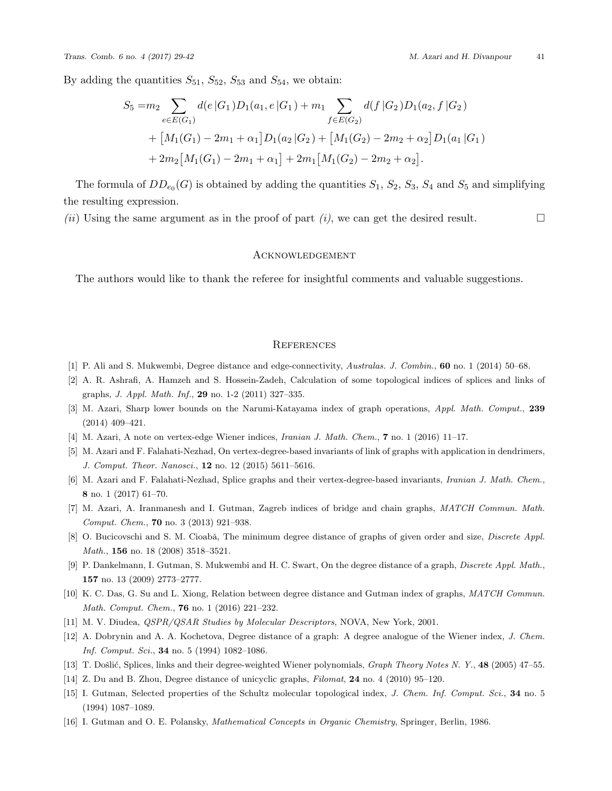By adding the quantities  $S_{51}$ ,  $S_{52}$ ,  $S_{53}$  and  $S_{54}$ , we obtain:

$$
S_5 = m_2 \sum_{e \in E(G_1)} d(e|G_1)D_1(a_1, e|G_1) + m_1 \sum_{f \in E(G_2)} d(f|G_2)D_1(a_2, f|G_2)
$$
  
+ 
$$
[M_1(G_1) - 2m_1 + \alpha_1]D_1(a_2|G_2) + [M_1(G_2) - 2m_2 + \alpha_2]D_1(a_1|G_1)
$$
  
+ 
$$
2m_2[M_1(G_1) - 2m_1 + \alpha_1] + 2m_1[M_1(G_2) - 2m_2 + \alpha_2].
$$

The formula of  $DD_{e_0}(G)$  is obtained by adding the quantities  $S_1$ ,  $S_2$ ,  $S_3$ ,  $S_4$  and  $S_5$  and simplifying the resulting expression.

*(ii)* Using the same argument as in the proof of part *(i)*, we can get the desired result. □

### **ACKNOWLEDGEMENT**

The authors would like to thank the referee for insightful comments and valuable suggestions.

### **REFERENCES**

- <span id="page-12-4"></span>[1] P. Ali and S. Mukwembi, Degree distance and edge-connectivity, *Australas. J. Combin.*, **60** no. 1 (2014) 50–68.
- <span id="page-12-9"></span>[2] A. R. Ashrafi, A. Hamzeh and S. Hossein-Zadeh, Calculation of some topological indices of splices and links of graphs, *J. Appl. Math. Inf.*, **29** no. 1-2 (2011) 327–335.
- <span id="page-12-10"></span>[3] M. Azari, Sharp lower bounds on the Narumi-Katayama index of graph operations, *Appl. Math. Comput.*, **239** (2014) 409–421.
- <span id="page-12-11"></span>[4] M. Azari, A note on vertex-edge Wiener indices, *Iranian J. Math. Chem.*, **7** no. 1 (2016) 11–17.
- <span id="page-12-12"></span>[5] M. Azari and F. Falahati-Nezhad, On vertex-degree-based invariants of link of graphs with application in dendrimers, *J. Comput. Theor. Nanosci.*, **12** no. 12 (2015) 5611–5616.
- <span id="page-12-13"></span>[6] M. Azari and F. Falahati-Nezhad, Splice graphs and their vertex-degree-based invariants, *Iranian J. Math. Chem.*, **8** no. 1 (2017) 61–70.
- <span id="page-12-14"></span>[7] M. Azari, A. Iranmanesh and I. Gutman, Zagreb indices of bridge and chain graphs, *MATCH Commun. Math. Comput. Chem.*, **70** no. 3 (2013) 921–938.
- <span id="page-12-5"></span>[8] O. Bucicovschi and S. M. Cioabă, The minimum degree distance of graphs of given order and size, *Discrete Appl. Math.*, **156** no. 18 (2008) 3518–3521.
- <span id="page-12-6"></span>[9] P. Dankelmann, I. Gutman, S. Mukwembi and H. C. Swart, On the degree distance of a graph, *Discrete Appl. Math.*, **157** no. 13 (2009) 2773–2777.
- <span id="page-12-7"></span>[10] K. C. Das, G. Su and L. Xiong, Relation between degree distance and Gutman index of graphs, *MATCH Commun. Math. Comput. Chem.*, **76** no. 1 (2016) 221–232.
- <span id="page-12-0"></span>[11] M. V. Diudea, *QSPR/QSAR Studies by Molecular Descriptors*, NOVA, New York, 2001.
- <span id="page-12-2"></span>[12] A. Dobrynin and A. A. Kochetova, Degree distance of a graph: A degree analogue of the Wiener index, *J. Chem. Inf. Comput. Sci.*, **34** no. 5 (1994) 1082–1086.
- <span id="page-12-15"></span>[13] T. Došlić, Splices, links and their degree-weighted Wiener polynomials, *Graph Theory Notes N. Y.*, 48 (2005) 47–55.
- <span id="page-12-8"></span>[14] Z. Du and B. Zhou, Degree distance of unicyclic graphs, *Filomat*, **24** no. 4 (2010) 95–120.
- <span id="page-12-3"></span>[15] I. Gutman, Selected properties of the Schultz molecular topological index, *J. Chem. Inf. Comput. Sci.*, **34** no. 5 (1994) 1087–1089.
- <span id="page-12-1"></span>[16] I. Gutman and O. E. Polansky, *Mathematical Concepts in Organic Chemistry*, Springer, Berlin, 1986.